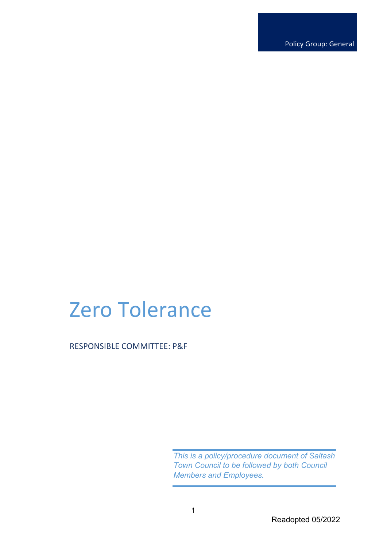Policy Group: General

# Zero Tolerance

RESPONSIBLE COMMITTEE: P&F

*This is a policy/procedure document of Saltash Town Council to be followed by both Council Members and Employees.*

1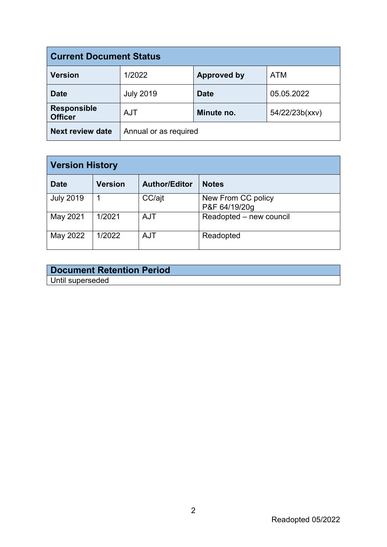| <b>Current Document Status</b>       |                       |                    |                |  |  |
|--------------------------------------|-----------------------|--------------------|----------------|--|--|
| <b>Version</b>                       | 1/2022                | <b>Approved by</b> | <b>ATM</b>     |  |  |
| <b>Date</b>                          | <b>July 2019</b>      | <b>Date</b>        | 05.05.2022     |  |  |
| <b>Responsible</b><br><b>Officer</b> | <b>AJT</b>            | Minute no.         | 54/22/23b(xxv) |  |  |
| <b>Next review date</b>              | Annual or as required |                    |                |  |  |

| <b>Version History</b> |         |                      |                                     |  |
|------------------------|---------|----------------------|-------------------------------------|--|
| <b>Date</b>            | Version | <b>Author/Editor</b> | <b>Notes</b>                        |  |
| <b>July 2019</b>       |         | CC/ajt               | New From CC policy<br>P&F 64/19/20g |  |
| May 2021               | 1/2021  | <b>AJT</b>           | Readopted - new council             |  |
| May 2022               | 1/2022  | <b>AJT</b>           | Readopted                           |  |

| <b>Document Retention Period</b> |  |
|----------------------------------|--|
| Until superseded                 |  |